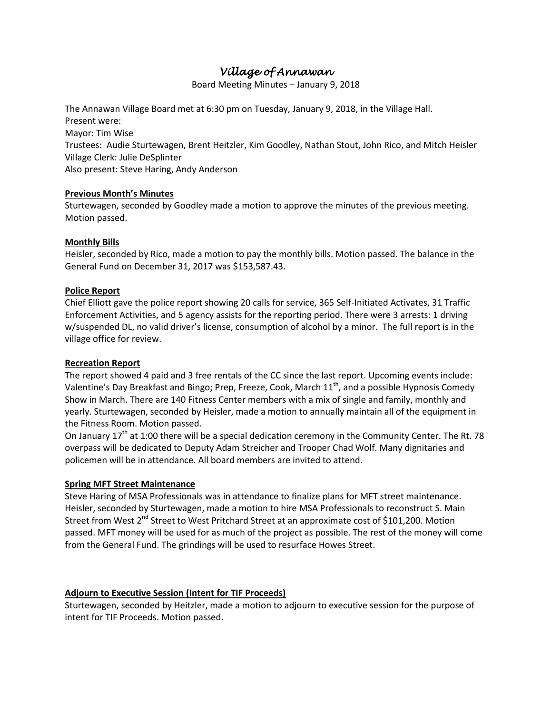# *Village of Annawan*

Board Meeting Minutes – January 9, 2018

The Annawan Village Board met at 6:30 pm on Tuesday, January 9, 2018, in the Village Hall. Present were: Mayor: Tim Wise Trustees: Audie Sturtewagen, Brent Heitzler, Kim Goodley, Nathan Stout, John Rico, and Mitch Heisler Village Clerk: Julie DeSplinter Also present: Steve Haring, Andy Anderson

## **Previous Month's Minutes**

Sturtewagen, seconded by Goodley made a motion to approve the minutes of the previous meeting. Motion passed.

## **Monthly Bills**

Heisler, seconded by Rico, made a motion to pay the monthly bills. Motion passed. The balance in the General Fund on December 31, 2017 was \$153,587.43.

## **Police Report**

Chief Elliott gave the police report showing 20 calls for service, 365 Self-Initiated Activates, 31 Traffic Enforcement Activities, and 5 agency assists for the reporting period. There were 3 arrests: 1 driving w/suspended DL, no valid driver's license, consumption of alcohol by a minor. The full report is in the village office for review.

## **Recreation Report**

The report showed 4 paid and 3 free rentals of the CC since the last report. Upcoming events include: Valentine's Day Breakfast and Bingo; Prep, Freeze, Cook, March  $11<sup>th</sup>$ , and a possible Hypnosis Comedy Show in March. There are 140 Fitness Center members with a mix of single and family, monthly and yearly. Sturtewagen, seconded by Heisler, made a motion to annually maintain all of the equipment in the Fitness Room. Motion passed.

On January 17<sup>th</sup> at 1:00 there will be a special dedication ceremony in the Community Center. The Rt. 78 overpass will be dedicated to Deputy Adam Streicher and Trooper Chad Wolf. Many dignitaries and policemen will be in attendance. All board members are invited to attend.

## **Spring MFT Street Maintenance**

Steve Haring of MSA Professionals was in attendance to finalize plans for MFT street maintenance. Heisler, seconded by Sturtewagen, made a motion to hire MSA Professionals to reconstruct S. Main Street from West 2<sup>nd</sup> Street to West Pritchard Street at an approximate cost of \$101,200. Motion passed. MFT money will be used for as much of the project as possible. The rest of the money will come from the General Fund. The grindings will be used to resurface Howes Street.

## **Adjourn to Executive Session (Intent for TIF Proceeds)**

Sturtewagen, seconded by Heitzler, made a motion to adjourn to executive session for the purpose of intent for TIF Proceeds. Motion passed.